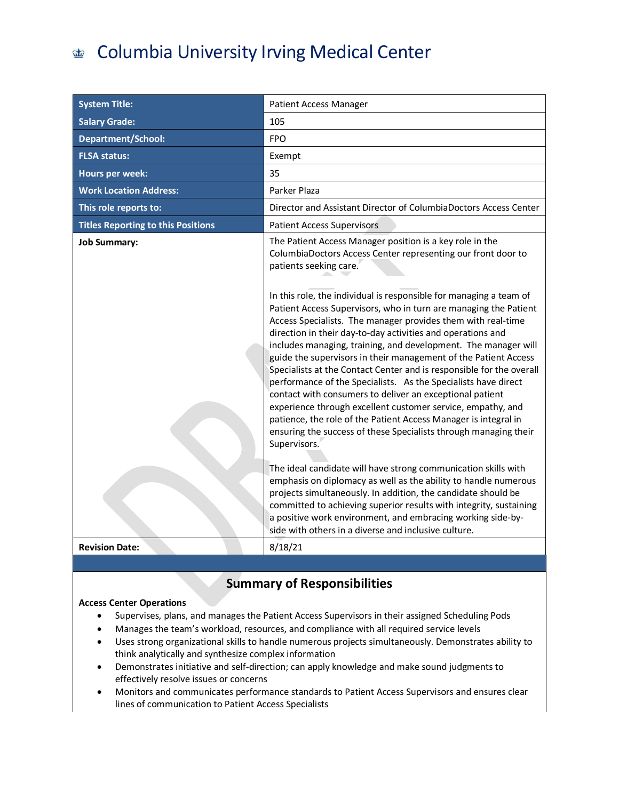### Columbia University Irving Medical Center  $\sigma$

| <b>System Title:</b>                      | <b>Patient Access Manager</b>                                                                                                                                                                                                                                                                                                                                                                                                                                                                                                                                                                                                                                                                                                                                                                                                                                                                                                                                                                                                                                                                                                                                                                                                                                                                                                                                                                   |
|-------------------------------------------|-------------------------------------------------------------------------------------------------------------------------------------------------------------------------------------------------------------------------------------------------------------------------------------------------------------------------------------------------------------------------------------------------------------------------------------------------------------------------------------------------------------------------------------------------------------------------------------------------------------------------------------------------------------------------------------------------------------------------------------------------------------------------------------------------------------------------------------------------------------------------------------------------------------------------------------------------------------------------------------------------------------------------------------------------------------------------------------------------------------------------------------------------------------------------------------------------------------------------------------------------------------------------------------------------------------------------------------------------------------------------------------------------|
| <b>Salary Grade:</b>                      | 105                                                                                                                                                                                                                                                                                                                                                                                                                                                                                                                                                                                                                                                                                                                                                                                                                                                                                                                                                                                                                                                                                                                                                                                                                                                                                                                                                                                             |
| <b>Department/School:</b>                 | <b>FPO</b>                                                                                                                                                                                                                                                                                                                                                                                                                                                                                                                                                                                                                                                                                                                                                                                                                                                                                                                                                                                                                                                                                                                                                                                                                                                                                                                                                                                      |
| <b>FLSA status:</b>                       | Exempt                                                                                                                                                                                                                                                                                                                                                                                                                                                                                                                                                                                                                                                                                                                                                                                                                                                                                                                                                                                                                                                                                                                                                                                                                                                                                                                                                                                          |
| <b>Hours per week:</b>                    | 35                                                                                                                                                                                                                                                                                                                                                                                                                                                                                                                                                                                                                                                                                                                                                                                                                                                                                                                                                                                                                                                                                                                                                                                                                                                                                                                                                                                              |
| <b>Work Location Address:</b>             | Parker Plaza                                                                                                                                                                                                                                                                                                                                                                                                                                                                                                                                                                                                                                                                                                                                                                                                                                                                                                                                                                                                                                                                                                                                                                                                                                                                                                                                                                                    |
| This role reports to:                     | Director and Assistant Director of ColumbiaDoctors Access Center                                                                                                                                                                                                                                                                                                                                                                                                                                                                                                                                                                                                                                                                                                                                                                                                                                                                                                                                                                                                                                                                                                                                                                                                                                                                                                                                |
| <b>Titles Reporting to this Positions</b> | <b>Patient Access Supervisors</b>                                                                                                                                                                                                                                                                                                                                                                                                                                                                                                                                                                                                                                                                                                                                                                                                                                                                                                                                                                                                                                                                                                                                                                                                                                                                                                                                                               |
| <b>Job Summary:</b>                       | The Patient Access Manager position is a key role in the<br>ColumbiaDoctors Access Center representing our front door to<br>patients seeking care.<br>In this role, the individual is responsible for managing a team of<br>Patient Access Supervisors, who in turn are managing the Patient<br>Access Specialists. The manager provides them with real-time<br>direction in their day-to-day activities and operations and<br>includes managing, training, and development. The manager will<br>guide the supervisors in their management of the Patient Access<br>Specialists at the Contact Center and is responsible for the overall<br>performance of the Specialists. As the Specialists have direct<br>contact with consumers to deliver an exceptional patient<br>experience through excellent customer service, empathy, and<br>patience, the role of the Patient Access Manager is integral in<br>ensuring the success of these Specialists through managing their<br>Supervisors.<br>The ideal candidate will have strong communication skills with<br>emphasis on diplomacy as well as the ability to handle numerous<br>projects simultaneously. In addition, the candidate should be<br>committed to achieving superior results with integrity, sustaining<br>a positive work environment, and embracing working side-by-<br>side with others in a diverse and inclusive culture. |
| <b>Revision Date:</b>                     | 8/18/21                                                                                                                                                                                                                                                                                                                                                                                                                                                                                                                                                                                                                                                                                                                                                                                                                                                                                                                                                                                                                                                                                                                                                                                                                                                                                                                                                                                         |

# **Summary of Responsibilities**

### **Access Center Operations**

- Supervises, plans, and manages the Patient Access Supervisors in their assigned Scheduling Pods
- Manages the team's workload, resources, and compliance with all required service levels
- Uses strong organizational skills to handle numerous projects simultaneously. Demonstrates ability to think analytically and synthesize complex information
- Demonstrates initiative and self-direction; can apply knowledge and make sound judgments to effectively resolve issues or concerns
- Monitors and communicates performance standards to Patient Access Supervisors and ensures clear lines of communication to Patient Access Specialists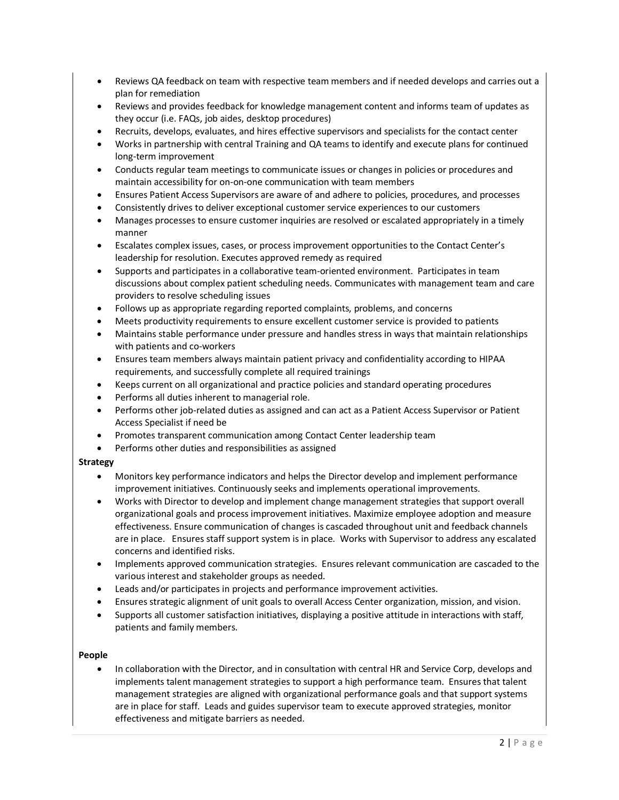- Reviews QA feedback on team with respective team members and if needed develops and carries out a plan for remediation
- Reviews and provides feedback for knowledge management content and informs team of updates as they occur (i.e. FAQs, job aides, desktop procedures)
- Recruits, develops, evaluates, and hires effective supervisors and specialists for the contact center
- Works in partnership with central Training and QA teams to identify and execute plans for continued long-term improvement
- Conducts regular team meetings to communicate issues or changes in policies or procedures and maintain accessibility for on-on-one communication with team members
- Ensures Patient Access Supervisors are aware of and adhere to policies, procedures, and processes
- Consistently drives to deliver exceptional customer service experiences to our customers
- Manages processes to ensure customer inquiries are resolved or escalated appropriately in a timely manner
- Escalates complex issues, cases, or process improvement opportunities to the Contact Center's leadership for resolution. Executes approved remedy as required
- Supports and participates in a collaborative team-oriented environment. Participates in team discussions about complex patient scheduling needs. Communicates with management team and care providers to resolve scheduling issues
- Follows up as appropriate regarding reported complaints, problems, and concerns
- Meets productivity requirements to ensure excellent customer service is provided to patients
- Maintains stable performance under pressure and handles stress in ways that maintain relationships with patients and co-workers
- Ensures team members always maintain patient privacy and confidentiality according to HIPAA requirements, and successfully complete all required trainings
- Keeps current on all organizational and practice policies and standard operating procedures
- Performs all duties inherent to managerial role.
- Performs other job-related duties as assigned and can act as a Patient Access Supervisor or Patient Access Specialist if need be
- Promotes transparent communication among Contact Center leadership team
- Performs other duties and responsibilities as assigned

# **Strategy**

- Monitors key performance indicators and helps the Director develop and implement performance improvement initiatives. Continuously seeks and implements operational improvements.
- Works with Director to develop and implement change management strategies that support overall organizational goals and process improvement initiatives. Maximize employee adoption and measure effectiveness. Ensure communication of changes is cascaded throughout unit and feedback channels are in place. Ensures staff support system is in place. Works with Supervisor to address any escalated concerns and identified risks.
- Implements approved communication strategies. Ensures relevant communication are cascaded to the various interest and stakeholder groups as needed.
- Leads and/or participates in projects and performance improvement activities.
- Ensures strategic alignment of unit goals to overall Access Center organization, mission, and vision.
- Supports all customer satisfaction initiatives, displaying a positive attitude in interactions with staff, patients and family members.

# **People**

• In collaboration with the Director, and in consultation with central HR and Service Corp, develops and implements talent management strategies to support a high performance team. Ensures that talent management strategies are aligned with organizational performance goals and that support systems are in place for staff. Leads and guides supervisor team to execute approved strategies, monitor effectiveness and mitigate barriers as needed.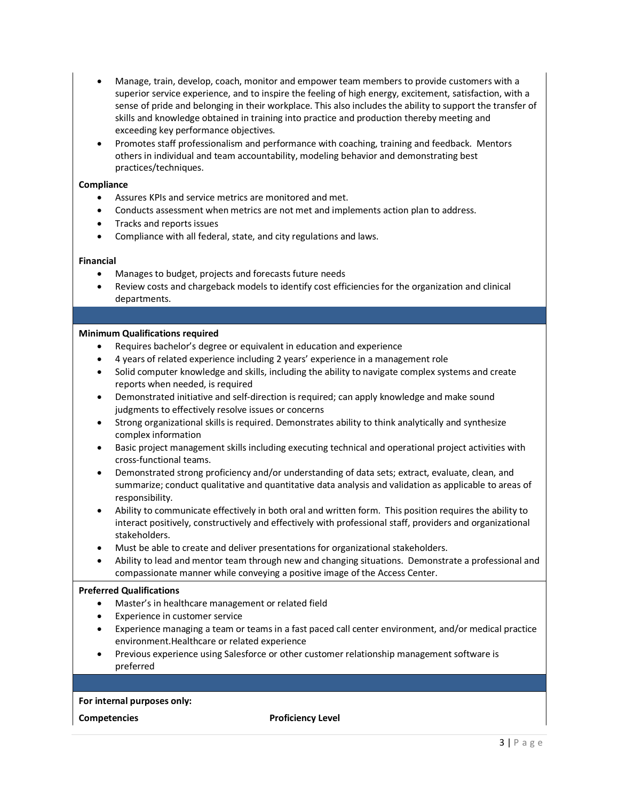- Manage, train, develop, coach, monitor and empower team members to provide customers with a superior service experience, and to inspire the feeling of high energy, excitement, satisfaction, with a sense of pride and belonging in their workplace. This also includes the ability to support the transfer of skills and knowledge obtained in training into practice and production thereby meeting and exceeding key performance objectives.
- Promotes staff professionalism and performance with coaching, training and feedback. Mentors others in individual and team accountability, modeling behavior and demonstrating best practices/techniques.

## **Compliance**

- Assures KPIs and service metrics are monitored and met.
- Conducts assessment when metrics are not met and implements action plan to address.
- Tracks and reports issues
- Compliance with all federal, state, and city regulations and laws.

# **Financial**

- Manages to budget, projects and forecasts future needs
- Review costs and chargeback models to identify cost efficiencies for the organization and clinical departments.

# **Minimum Qualifications required**

- Requires bachelor's degree or equivalent in education and experience
- 4 years of related experience including 2 years' experience in a management role
- Solid computer knowledge and skills, including the ability to navigate complex systems and create reports when needed, is required
- Demonstrated initiative and self-direction is required; can apply knowledge and make sound judgments to effectively resolve issues or concerns
- Strong organizational skills is required. Demonstrates ability to think analytically and synthesize complex information
- Basic project management skills including executing technical and operational project activities with cross-functional teams.
- Demonstrated strong proficiency and/or understanding of data sets; extract, evaluate, clean, and summarize; conduct qualitative and quantitative data analysis and validation as applicable to areas of responsibility.
- Ability to communicate effectively in both oral and written form. This position requires the ability to interact positively, constructively and effectively with professional staff, providers and organizational stakeholders.
- Must be able to create and deliver presentations for organizational stakeholders.
- Ability to lead and mentor team through new and changing situations. Demonstrate a professional and compassionate manner while conveying a positive image of the Access Center.

### **Preferred Qualifications**

- Master's in healthcare management or related field
- Experience in customer service
- Experience managing a team or teams in a fast paced call center environment, and/or medical practice environment.Healthcare or related experience
- Previous experience using Salesforce or other customer relationship management software is preferred

### **For internal purposes only:**

**Competencies Proficiency Level**